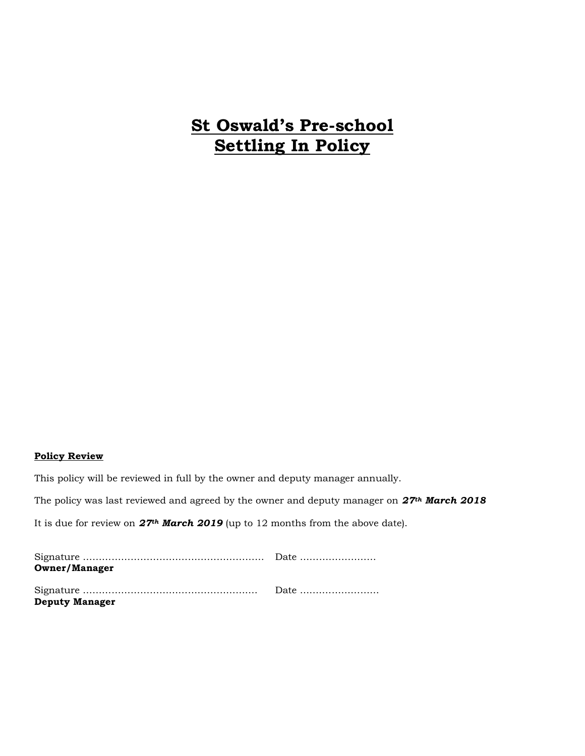# **St Oswald's Pre-school Settling In Policy**

## **Policy Review**

This policy will be reviewed in full by the owner and deputy manager annually.

The policy was last reviewed and agreed by the owner and deputy manager on *27th March 2018*

It is due for review on *27th March 2019* (up to 12 months from the above date).

| <b>Owner/Manager</b>  |  |
|-----------------------|--|
| <b>Deputy Manager</b> |  |